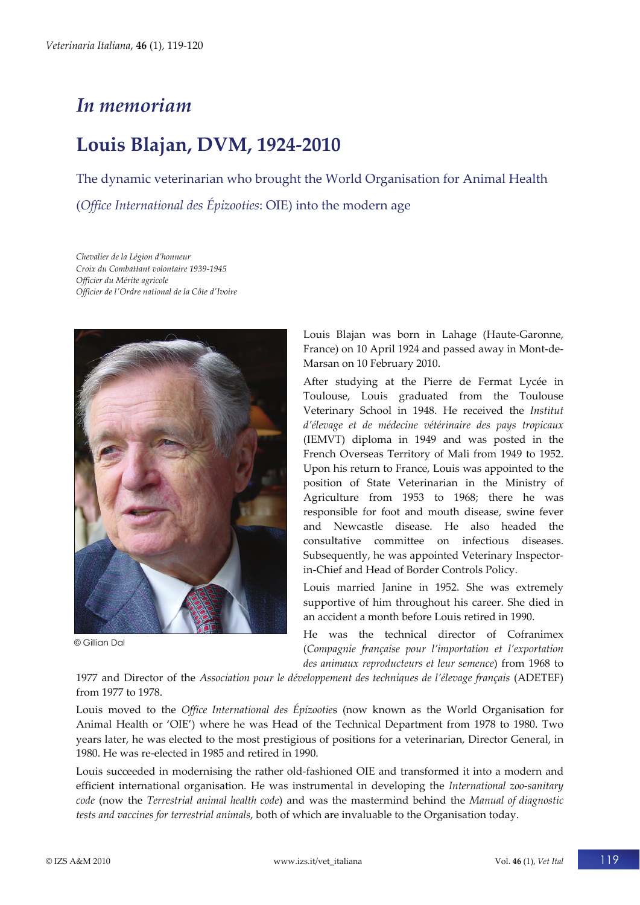## *In memoriam*

## **Louis Blajan, DVM, 1924‐2010**

The dynamic veterinarian who brought the World Organisation for Animal Health (*Office International des Épizooties*: OIE) into the modern age

*Chevalier de la Légion d'honneur Croix du Combattant volontaire 1939‐1945 Officier du Mérite agricole Officier de lʹOrdre national de la Côte dʹIvoire*



© Gillian Dal

Louis Blajan was born in Lahage (Haute‐Garonne, France) on 10 April 1924 and passed away in Mont‐de‐ Marsan on 10 February 2010.

After studying at the Pierre de Fermat Lycée in Toulouse, Louis graduated from the Toulouse Veterinary School in 1948. He received the *Institut d'élevage et de médecine vétérinaire des pays tropicaux* (IEMVT) diploma in 1949 and was posted in the French Overseas Territory of Mali from 1949 to 1952. Upon his return to France, Louis was appointed to the position of State Veterinarian in the Ministry of Agriculture from 1953 to 1968; there he was responsible for foot and mouth disease, swine fever and Newcastle disease. He also headed the consultative committee on infectious diseases. Subsequently, he was appointed Veterinary Inspector‐ in‐Chief and Head of Border Controls Policy.

Louis married Janine in 1952. She was extremely supportive of him throughout his career. She died in an accident a month before Louis retired in 1990.

He was the technical director of Cofranimex (*Compagnie française pour l'importation et l'exportation des animaux reproducteurs et leur semence*) from 1968 to

1977 and Director of the *Association pour le développement des techniques de l'élevage français* (ADETEF) from 1977 to 1978.

Louis moved to the *Office International des Épizootie*s (now known as the World Organisation for Animal Health or 'OIE') where he was Head of the Technical Department from 1978 to 1980. Two years later, he was elected to the most prestigious of positions for a veterinarian, Director General, in 1980. He was re‐elected in 1985 and retired in 1990.

Louis succeeded in modernising the rather old‐fashioned OIE and transformed it into a modern and efficient international organisation. He was instrumental in developing the *International zoo‐sanitary code* (now the *Terrestrial animal health code*) and was the mastermind behind the *Manual of diagnostic tests and vaccines for terrestrial animals*, both of which are invaluable to the Organisation today.